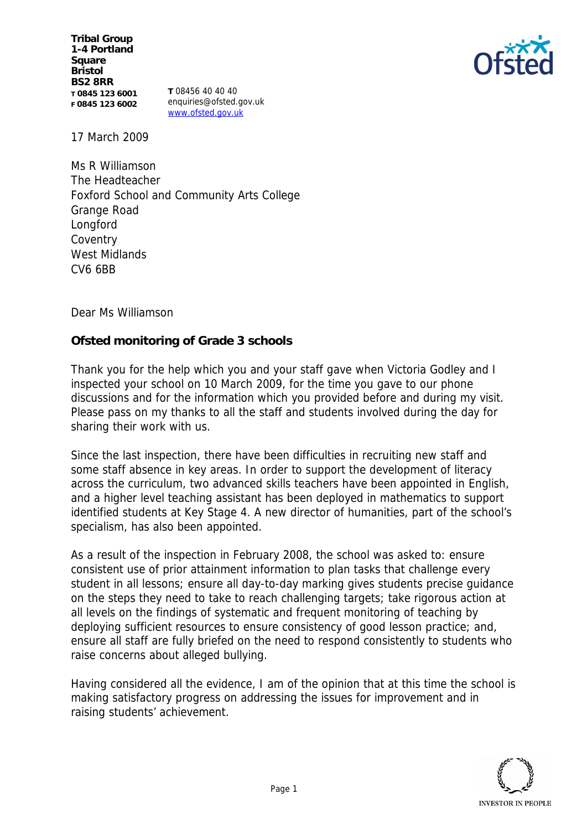**Tribal Group 1-4 Portland Square Bristol BS2 8RR T 0845 123 6001 F 0845 123 6002**

**T** 08456 40 40 40 enquiries@ofsted.gov.uk www.ofsted.gov.uk



17 March 2009

Ms R Williamson The Headteacher Foxford School and Community Arts College Grange Road Longford **Coventry** West Midlands CV6 6BB

Dear Ms Williamson

**Ofsted monitoring of Grade 3 schools** 

Thank you for the help which you and your staff gave when Victoria Godley and I inspected your school on 10 March 2009, for the time you gave to our phone discussions and for the information which you provided before and during my visit. Please pass on my thanks to all the staff and students involved during the day for sharing their work with us.

Since the last inspection, there have been difficulties in recruiting new staff and some staff absence in key areas. In order to support the development of literacy across the curriculum, two advanced skills teachers have been appointed in English, and a higher level teaching assistant has been deployed in mathematics to support identified students at Key Stage 4. A new director of humanities, part of the school's specialism, has also been appointed.

As a result of the inspection in February 2008, the school was asked to: ensure consistent use of prior attainment information to plan tasks that challenge every student in all lessons; ensure all day-to-day marking gives students precise guidance on the steps they need to take to reach challenging targets; take rigorous action at all levels on the findings of systematic and frequent monitoring of teaching by deploying sufficient resources to ensure consistency of good lesson practice; and, ensure all staff are fully briefed on the need to respond consistently to students who raise concerns about alleged bullying.

Having considered all the evidence, I am of the opinion that at this time the school is making satisfactory progress on addressing the issues for improvement and in raising students' achievement.

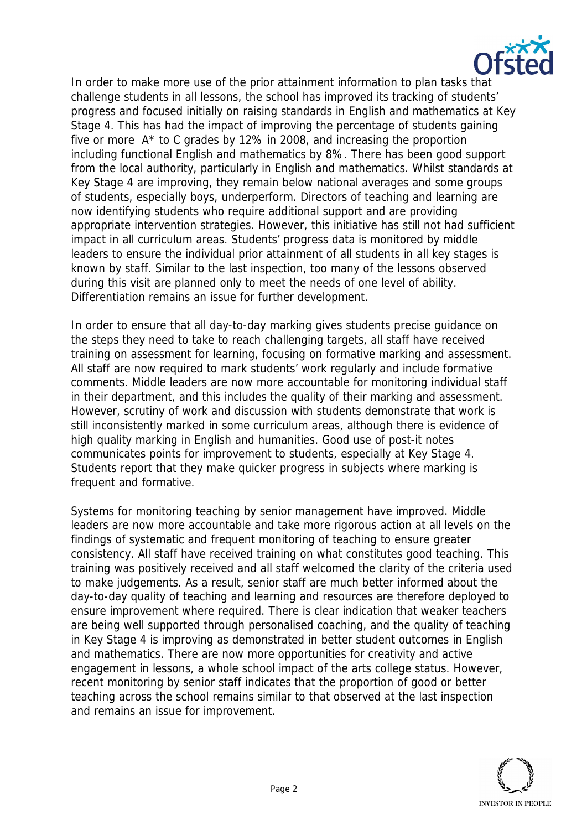

In order to make more use of the prior attainment information to plan tasks that challenge students in all lessons, the school has improved its tracking of students' progress and focused initially on raising standards in English and mathematics at Key Stage 4. This has had the impact of improving the percentage of students gaining five or more A\* to C grades by 12% in 2008, and increasing the proportion including functional English and mathematics by 8%. There has been good support from the local authority, particularly in English and mathematics. Whilst standards at Key Stage 4 are improving, they remain below national averages and some groups of students, especially boys, underperform. Directors of teaching and learning are now identifying students who require additional support and are providing appropriate intervention strategies. However, this initiative has still not had sufficient impact in all curriculum areas. Students' progress data is monitored by middle leaders to ensure the individual prior attainment of all students in all key stages is known by staff. Similar to the last inspection, too many of the lessons observed during this visit are planned only to meet the needs of one level of ability. Differentiation remains an issue for further development.

In order to ensure that all day-to-day marking gives students precise guidance on the steps they need to take to reach challenging targets, all staff have received training on assessment for learning, focusing on formative marking and assessment. All staff are now required to mark students' work regularly and include formative comments. Middle leaders are now more accountable for monitoring individual staff in their department, and this includes the quality of their marking and assessment. However, scrutiny of work and discussion with students demonstrate that work is still inconsistently marked in some curriculum areas, although there is evidence of high quality marking in English and humanities. Good use of post-it notes communicates points for improvement to students, especially at Key Stage 4. Students report that they make quicker progress in subjects where marking is frequent and formative.

Systems for monitoring teaching by senior management have improved. Middle leaders are now more accountable and take more rigorous action at all levels on the findings of systematic and frequent monitoring of teaching to ensure greater consistency. All staff have received training on what constitutes good teaching. This training was positively received and all staff welcomed the clarity of the criteria used to make judgements. As a result, senior staff are much better informed about the day-to-day quality of teaching and learning and resources are therefore deployed to ensure improvement where required. There is clear indication that weaker teachers are being well supported through personalised coaching, and the quality of teaching in Key Stage 4 is improving as demonstrated in better student outcomes in English and mathematics. There are now more opportunities for creativity and active engagement in lessons, a whole school impact of the arts college status. However, recent monitoring by senior staff indicates that the proportion of good or better teaching across the school remains similar to that observed at the last inspection and remains an issue for improvement.